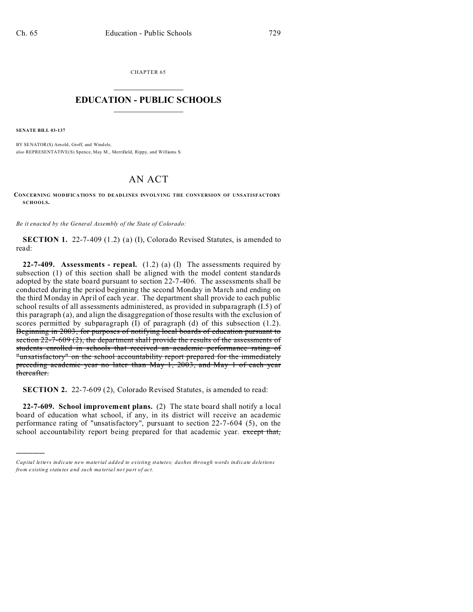CHAPTER 65  $\overline{\phantom{a}}$  , where  $\overline{\phantom{a}}$ 

## **EDUCATION - PUBLIC SCHOOLS**  $\_$   $\_$   $\_$   $\_$   $\_$   $\_$   $\_$   $\_$   $\_$

**SENATE BILL 03-137**

)))))

BY SENATOR(S) Arnold, Groff, and Windels; also REPRESENTATIVE(S) Spence, May M., Merrifield, Rippy, and Williams S.

## AN ACT

**CONCERNING MODIFICATIONS TO DEADLINES INVOLVING THE CONVERSION OF UNSATISFACTORY SCHOOLS.**

*Be it enacted by the General Assembly of the State of Colorado:*

**SECTION 1.** 22-7-409 (1.2) (a) (I), Colorado Revised Statutes, is amended to read:

**22-7-409. Assessments - repeal.** (1.2) (a) (I) The assessments required by subsection (1) of this section shall be aligned with the model content standards adopted by the state board pursuant to section 22-7-406. The assessments shall be conducted during the period beginning the second Monday in March and ending on the third Monday in April of each year. The department shall provide to each public school results of all assessments administered, as provided in subparagraph (I.5) of this paragraph (a), and align the disaggregation of those results with the exclusion of scores permitted by subparagraph (I) of paragraph (d) of this subsection (1.2). Beginning in 2003, for purposes of notifying local boards of education pursuant to section 22-7-609 (2), the department shall provide the results of the assessments of students enrolled in schools that received an academic performance rating of "unsatisfactory" on the school accountability report prepared for the immediately preceding academic year no later than May 1, 2003, and May 1 of each year thereafter.

**SECTION 2.** 22-7-609 (2), Colorado Revised Statutes, is amended to read:

**22-7-609. School improvement plans.** (2) The state board shall notify a local board of education what school, if any, in its district will receive an academic performance rating of "unsatisfactory", pursuant to section 22-7-604 (5), on the school accountability report being prepared for that academic year. except that,

*Capital letters indicate new material added to existing statutes; dashes through words indicate deletions from e xistin g statu tes a nd such ma teria l no t pa rt of ac t.*